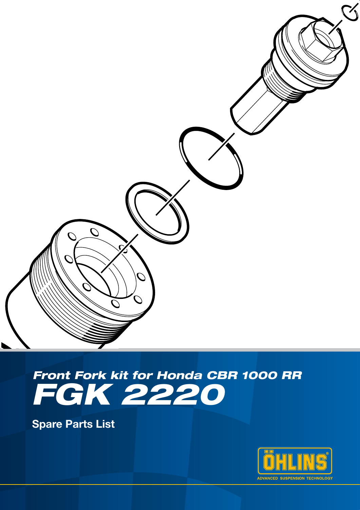

# *FGK 2220 Front Fork kit for Honda CBR 1000 RR*

Spare Parts List

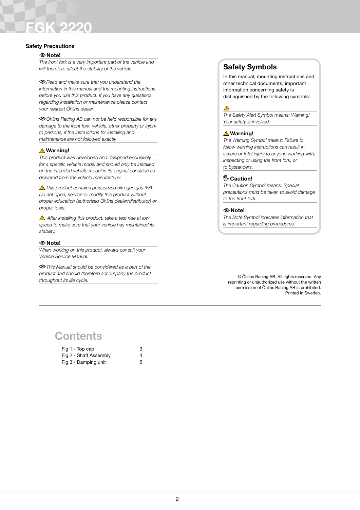# FGK 2220

#### Safety Precautions

#### Note!

*The front fork is a very important part of the vehicle and will therefore affect the stability of the vehicle.* 

*Read and make sure that you understand the information in this manual and the mounting instructions before you use this product. If you have any questions regarding installation or maintenance please contact your nearest Öhlins dealer.*

*Öhlins Racing AB can not be held responsible for any damage to the front fork, vehicle, other property or injury to persons, if the instructions for installing and maintenance are not followed exactly.*

#### **△Warning!**

*This product was developed and designed exclusively for a specific vehicle model and should only be installed on the intended vehicle model in its original condition as delivered from the vehicle manufacturer.*

*This product contains pressurized nitrogen gas (N2 ). Do not open, service or modify this product without proper education (authorized Öhlins dealer/distributor) or proper tools.*

 *After installing this product, take a test ride at low speed to make sure that your vehicle has maintained its stability.*

#### Note!

*When working on this product, always consult your Vehicle Service Manual.*

*This Manual should be considered as a part of the product and should therefore accompany the product throughout its life cycle.*

## Safety Symbols

In this manual, mounting instructions and other technical documents, important information concerning safety is distinguished by the following symbols:

#### $\triangle$

*The Safety Alert Symbol means: Warning! Your safety is involved.*

#### **△Warning!**

*The Warning Symbol means: Failure to follow warning instructions can result in severe or fatal injury to anyone working with, inspecting or using the front fork, or to bystanders.*

#### <sup>(11</sup><sub>2</sub> Caution!

*The Caution Symbol means: Special precautions must be taken to avoid damage to the front fork.*

#### Note!

*The Note Symbol indicates information that is important regarding procedures.*

© Öhlins Racing AB. All rights reserved. Any reprinting or unauthorized use without the written permission of Öhlins Racing AB is prohibited. Printed in Sweden.

# **Contents**

| Fig 1 - Top cap        | 3 |
|------------------------|---|
| Fig 2 - Shaft Assembly | 4 |
| Fig 3 - Damping unit   | 5 |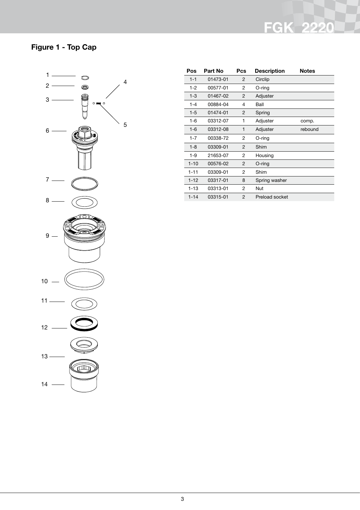# Figure 1 - Top Cap



| Pos      | Part No  | Pcs            | <b>Description</b> | <b>Notes</b> |
|----------|----------|----------------|--------------------|--------------|
| $1 - 1$  | 01473-01 | 2              | Circlip            |              |
| $1 - 2$  | 00577-01 | 2              | O-ring             |              |
| $1 - 3$  | 01467-02 | $\overline{2}$ | Adjuster           |              |
| $1 - 4$  | 00884-04 | 4              | Ball               |              |
| $1 - 5$  | 01474-01 | 2              | Spring             |              |
| $1 - 6$  | 03312-07 | 1              | Adjuster           | comp.        |
| $1 - 6$  | 03312-08 | 1              | Adjuster           | rebound      |
| $1 - 7$  | 00338-72 | 2              | O-ring             |              |
| $1-8$    | 03309-01 | $\overline{2}$ | Shim               |              |
| $1 - 9$  | 21653-07 | 2              | Housing            |              |
| $1 - 10$ | 00576-02 | $\overline{2}$ | $O$ -ring          |              |
| $1 - 11$ | 03309-01 | 2              | Shim               |              |
| $1 - 12$ | 03317-01 | 8              | Spring washer      |              |
| $1 - 13$ | 03313-01 | 2              | Nut                |              |
| $1 - 14$ | 03315-01 | 2              | Preload socket     |              |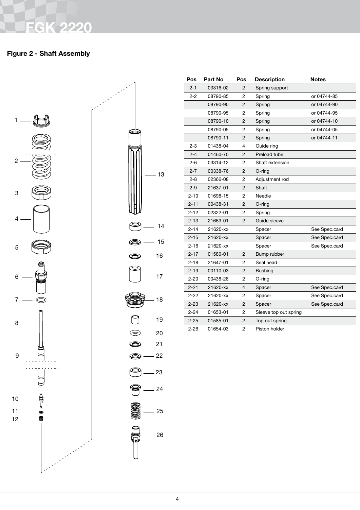### Figure 2 - Shaft Assembly



| $\mathcal{L}$       |
|---------------------|
| — 13                |
| ⋗<br>$-14$          |
| $-15$<br>ン          |
| $-16$               |
| $-17$               |
| $-18$               |
| - 19                |
| - 20                |
| – 21<br>⋑           |
| $-22$<br>O)         |
| $\odot$ $-$ 23      |
| $\bigcirc$<br>$-24$ |
| $\bigotimes$ $-$ 25 |
| $\frac{1}{10}$ - 26 |

| Pos      | <b>Part No</b> | Pcs            | <b>Description</b>    | <b>Notes</b>  |
|----------|----------------|----------------|-----------------------|---------------|
| $2 - 1$  | 03316-02       | 2              | Spring support        |               |
| 2-2      | 08790-85       | 2              | Spring                | or 04744-85   |
|          | 08790-90       | $\overline{c}$ | Spring                | or 04744-90   |
|          | 08790-95       | 2              | Spring                | or 04744-95   |
|          | 08790-10       | 2              | Spring                | or 04744-10   |
|          | 08790-05       | 2              | Spring                | or 04744-05   |
|          | 08790-11       | 2              | Spring                | or 04744-11   |
| $2 - 3$  | 01438-04       | 4              | Guide ring            |               |
| $2 - 4$  | 01460-70       | 2              | Preload tube          |               |
| $2 - 6$  | 03314-12       | 2              | Shaft extension       |               |
| $2 - 7$  | 00338-76       | $\overline{2}$ | $O$ -ring             |               |
| 2-8      | 02366-08       | 2              | Adjustment rod        |               |
| $2 - 9$  | 21637-01       | 2              | Shaft                 |               |
| 2-10     | 01698-15       | 2              | Needle                |               |
| $2 - 11$ | 00438-31       | $\overline{2}$ | $O$ -ring             |               |
| $2 - 12$ | 02322-01       | 2              | Spring                |               |
| $2 - 13$ | 21663-01       | 2              | Guide sleeve          |               |
| $2 - 14$ | 21620-xx       |                | Spacer                | See Spec.card |
| $2 - 15$ | 21620-xx       |                | Spacer                | See Spec.card |
| $2 - 16$ | 21620-xx       |                | Spacer                | See Spec.card |
| $2 - 17$ | 01580-01       | 2              | Bump rubber           |               |
| $2 - 18$ | 21647-01       | $\overline{2}$ | Seal head             |               |
| $2 - 19$ | 00110-03       | 2              | <b>Bushing</b>        |               |
| 2-20     | 00438-28       | 2              | O-ring                |               |
| $2 - 21$ | 21620-xx       | $\overline{4}$ | Spacer                | See Spec.card |
| $2 - 22$ | 21620-xx       | 2              | Spacer                | See Spec.card |
| $2 - 23$ | 21620-xx       | 2              | Spacer                | See Spec.card |
| $2 - 24$ | 01653-01       | 2              | Sleeve top out spring |               |
| $2 - 25$ | 01585-01       | 2              | Top out spring        |               |
| $2 - 26$ | 01654-03       | 2              | Piston holder         |               |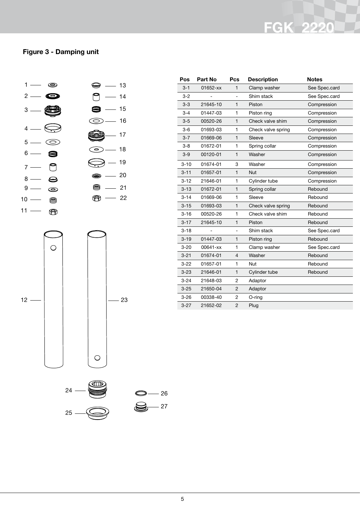### Figure 3 - Damping unit





| Pos      | <b>Part No</b> | Pcs            | <b>Description</b> | <b>Notes</b>  |
|----------|----------------|----------------|--------------------|---------------|
| $3 - 1$  | 01652-xx       | 1              | Clamp washer       | See Spec.card |
| $3 - 2$  |                |                | Shim stack         | See Spec.card |
| $3 - 3$  | 21645-10       | 1              | Piston             | Compression   |
| $3 - 4$  | 01447-03       | 1              | Piston ring        | Compression   |
| $3 - 5$  | 00520-26       | $\mathbf{1}$   | Check valve shim   | Compression   |
| $3-6$    | 01693-03       | 1              | Check valve spring | Compression   |
| $3 - 7$  | 01669-06       | 1              | Sleeve             | Compression   |
| $3 - 8$  | 01672-01       | 1              | Spring collar      | Compression   |
| $3-9$    | 00120-01       | 1              | Washer             | Compression   |
| $3 - 10$ | 01674-01       | 3              | Washer             | Compression   |
| $3 - 11$ | 01657-01       | 1              | <b>Nut</b>         | Compression   |
| $3 - 12$ | 21646-01       | 1              | Cylinder tube      | Compression   |
| $3 - 13$ | 01672-01       | $\mathbf{1}$   | Spring collar      | Rebound       |
| $3 - 14$ | 01669-06       | 1              | Sleeve             | Rebound       |
| $3 - 15$ | 01693-03       | $\mathbf{1}$   | Check valve spring | Rebound       |
| $3 - 16$ | 00520-26       | 1              | Check valve shim   | Rebound       |
| $3 - 17$ | 21645-10       | 1              | Piston             | Rebound       |
| $3 - 18$ |                |                | Shim stack         | See Spec.card |
| $3 - 19$ | 01447-03       | $\mathbf{1}$   | Piston ring        | Rebound       |
| $3 - 20$ | 00641-xx       | 1              | Clamp washer       | See Spec.card |
| $3 - 21$ | 01674-01       | 4              | Washer             | Rebound       |
| $3 - 22$ | 01657-01       | 1              | Nut                | Rebound       |
| $3 - 23$ | 21646-01       | 1              | Cylinder tube      | Rebound       |
| $3 - 24$ | 21648-03       | 2              | Adaptor            |               |
| $3 - 25$ | 21650-04       | $\overline{2}$ | Adaptor            |               |
| $3 - 26$ | 00338-40       | 2              | O-ring             |               |
| $3 - 27$ | 21652-02       | $\overline{2}$ | Plug               |               |

 $-26$ 

 $-27$